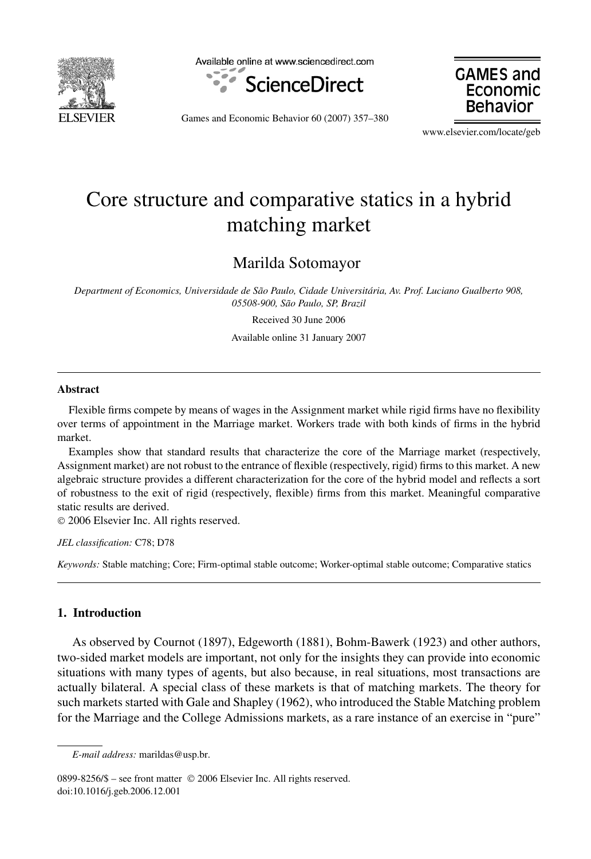

Available online at www.sciencedirect.com



**GAMES and** Economic **Behavior** 

Games and Economic Behavior 60 (2007) 357–380

www.elsevier.com/locate/geb

## Core structure and comparative statics in a hybrid matching market

Marilda Sotomayor

*Department of Economics, Universidade de São Paulo, Cidade Universitária, Av. Prof. Luciano Gualberto 908, 05508-900, São Paulo, SP, Brazil*

Received 30 June 2006

Available online 31 January 2007

## **Abstract**

Flexible firms compete by means of wages in the Assignment market while rigid firms have no flexibility over terms of appointment in the Marriage market. Workers trade with both kinds of firms in the hybrid market.

Examples show that standard results that characterize the core of the Marriage market (respectively, Assignment market) are not robust to the entrance of flexible (respectively, rigid) firms to this market. A new algebraic structure provides a different characterization for the core of the hybrid model and reflects a sort of robustness to the exit of rigid (respectively, flexible) firms from this market. Meaningful comparative static results are derived.

© 2006 Elsevier Inc. All rights reserved.

*JEL classification:* C78; D78

*Keywords:* Stable matching; Core; Firm-optimal stable outcome; Worker-optimal stable outcome; Comparative statics

## **1. Introduction**

As observed by Cournot (1897), Edgeworth (1881), Bohm-Bawerk (1923) and other authors, two-sided market models are important, not only for the insights they can provide into economic situations with many types of agents, but also because, in real situations, most transactions are actually bilateral. A special class of these markets is that of matching markets. The theory for such markets started with Gale and Shapley (1962), who introduced the Stable Matching problem for the Marriage and the College Admissions markets, as a rare instance of an exercise in "pure"

0899-8256/\$ – see front matter © 2006 Elsevier Inc. All rights reserved. doi:10.1016/j.geb.2006.12.001

*E-mail address:* marildas@usp.br.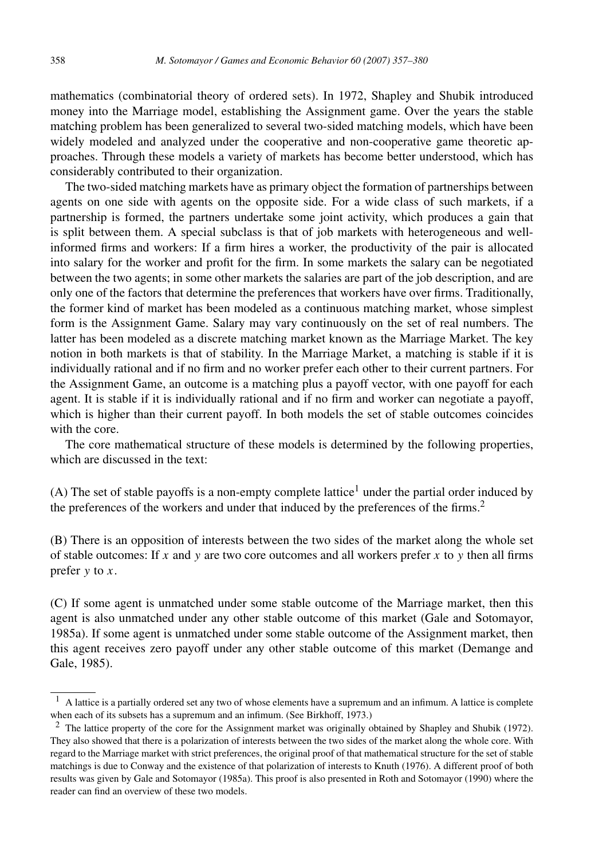mathematics (combinatorial theory of ordered sets). In 1972, Shapley and Shubik introduced money into the Marriage model, establishing the Assignment game. Over the years the stable matching problem has been generalized to several two-sided matching models, which have been widely modeled and analyzed under the cooperative and non-cooperative game theoretic approaches. Through these models a variety of markets has become better understood, which has considerably contributed to their organization.

The two-sided matching markets have as primary object the formation of partnerships between agents on one side with agents on the opposite side. For a wide class of such markets, if a partnership is formed, the partners undertake some joint activity, which produces a gain that is split between them. A special subclass is that of job markets with heterogeneous and wellinformed firms and workers: If a firm hires a worker, the productivity of the pair is allocated into salary for the worker and profit for the firm. In some markets the salary can be negotiated between the two agents; in some other markets the salaries are part of the job description, and are only one of the factors that determine the preferences that workers have over firms. Traditionally, the former kind of market has been modeled as a continuous matching market, whose simplest form is the Assignment Game. Salary may vary continuously on the set of real numbers. The latter has been modeled as a discrete matching market known as the Marriage Market. The key notion in both markets is that of stability. In the Marriage Market, a matching is stable if it is individually rational and if no firm and no worker prefer each other to their current partners. For the Assignment Game, an outcome is a matching plus a payoff vector, with one payoff for each agent. It is stable if it is individually rational and if no firm and worker can negotiate a payoff, which is higher than their current payoff. In both models the set of stable outcomes coincides with the core.

The core mathematical structure of these models is determined by the following properties, which are discussed in the text:

(A) The set of stable payoffs is a non-empty complete lattice<sup>1</sup> under the partial order induced by the preferences of the workers and under that induced by the preferences of the firms.<sup>2</sup>

(B) There is an opposition of interests between the two sides of the market along the whole set of stable outcomes: If *x* and *y* are two core outcomes and all workers prefer *x* to *y* then all firms prefer *y* to *x*.

(C) If some agent is unmatched under some stable outcome of the Marriage market, then this agent is also unmatched under any other stable outcome of this market (Gale and Sotomayor, 1985a). If some agent is unmatched under some stable outcome of the Assignment market, then this agent receives zero payoff under any other stable outcome of this market (Demange and Gale, 1985).

<sup>&</sup>lt;sup>1</sup> A lattice is a partially ordered set any two of whose elements have a supremum and an infimum. A lattice is complete when each of its subsets has a supremum and an infimum. (See Birkhoff, 1973.)

<sup>&</sup>lt;sup>2</sup> The lattice property of the core for the Assignment market was originally obtained by Shapley and Shubik (1972). They also showed that there is a polarization of interests between the two sides of the market along the whole core. With regard to the Marriage market with strict preferences, the original proof of that mathematical structure for the set of stable matchings is due to Conway and the existence of that polarization of interests to Knuth (1976). A different proof of both results was given by Gale and Sotomayor (1985a). This proof is also presented in Roth and Sotomayor (1990) where the reader can find an overview of these two models.